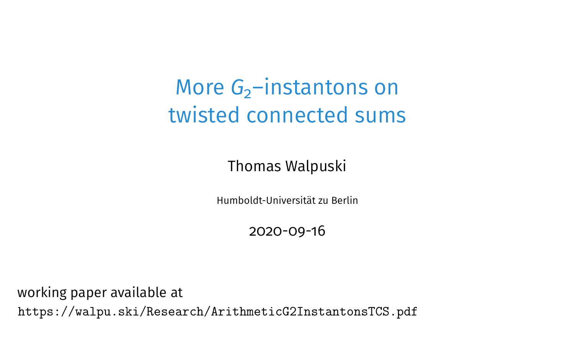### More *G*<sub>2</sub>–instantons on twisted connected sums

Thomas Walpuski

Humboldt-Universität zu Berlin

2020-09-16

working paper available at <https://walpu.ski/Research/ArithmeticG2InstantonsTCS.pdf>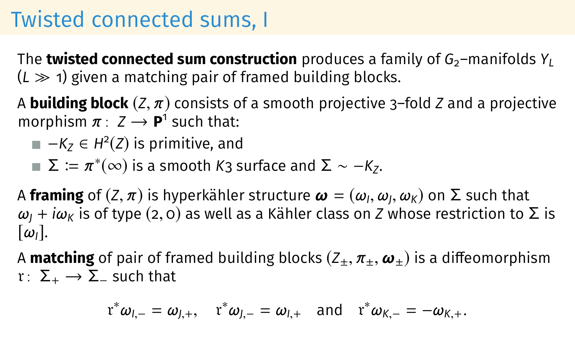### Twisted connected sums, I

The **twisted connected sum construction** produces a family of  $G_2$ –manifolds  $Y_L$  $(L \gg 1)$  given a matching pair of framed building blocks.

<sup>A</sup> **building block** (*Z*, <sup>π</sup>) consists of a smooth projective 3–fold *<sup>Z</sup>* and a projective morphism  $\pi$  :  $Z \rightarrow P^1$  such that:

- $-K_Z$  ∈ *H*<sup>2</sup>(*Z*) is primitive, and
- $Σ ≔ π*(∞)$  is a smooth *K*3 surface and  $Σ ~ ~ − K_z$ .

A **framing** of  $(Z, \pi)$  is hyperkähler structure  $\boldsymbol{\omega} = (\omega_l, \omega_j, \omega_K)$  on Σ such that  $\omega_l + i\omega_{\kappa}$  is of type (2, 0) as well as a Kähler class on *Z* whose restriction to  $\omega$ <sub>*I</sub>* + *i* $\omega$ <sub>K</sub> is of type (2, 0) as well as a Kähler class on *Z* whose restriction to  $\Sigma$  is</sub>  $[\omega_{I}]$ .

A **matching** of pair of framed building blocks  $(Z_{\pm}, \pi_{\pm}, \omega_{\pm})$  is a diffeomorphism  $r: \Sigma_+ \rightarrow \Sigma_-$  such that

$$
\mathfrak{r}^*\omega_{l,-}=\omega_{J,+},\quad \mathfrak{r}^*\omega_{J,-}=\omega_{l,+}\quad \text{and}\quad \mathfrak{r}^*\omega_{K,-}=-\omega_{K,+}.
$$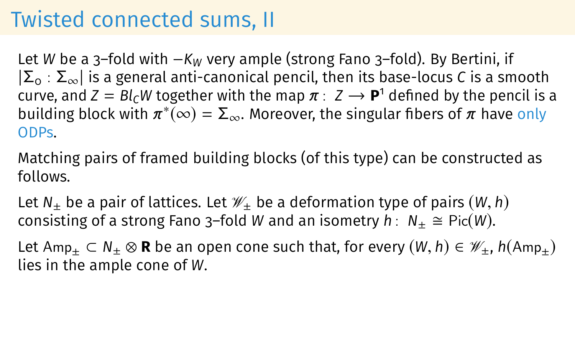### Twisted connected sums, II

Let *W* be a 3–fold with −*K<sup>W</sup>* very ample (strong Fano 3–fold). By Bertini, if |Σ<sup>0</sup> : Σ∞| is a general anti-canonical pencil, then its base-locus *C* is a smooth curve, and  $Z = B l_C W$  together with the map  $\pi : Z \to \mathbf{P}^1$  defined by the pencil is a building block with  $\pi^*(\infty) = \Sigma_{\infty}$ . Moreover, the singular fibers of  $\pi$  have only ODPs.

Matching pairs of framed building blocks (of this type) can be constructed as follows.

Let  $N_+$  be a pair of lattices. Let  $\mathcal{W}_+$  be a deformation type of pairs  $(W, h)$ consisting of a strong Fano 3–fold *W* and an isometry  $h: N_+ \cong Pic(W)$ .

Let  $Amp_+ \subset N_+ \otimes \mathbf{R}$  be an open cone such that, for every  $(W, h) \in \mathcal{W}_+$ ,  $h(Amp_+)$ lies in the ample cone of *W*.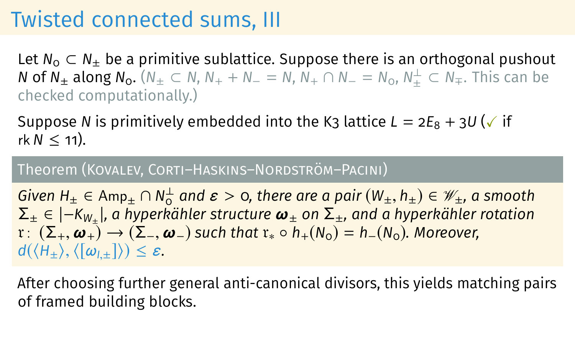#### Twisted connected sums, III

Let  $N_0 \n\subset N_+$  be a primitive sublattice. Suppose there is an orthogonal pushout *N* of  $N_±$  along  $N_0$ .  $(N_± ⊂ N, N_+ + N_− = N, N_+ ∩ N_− = N_0, N_±^⊥ ⊂ N_.$  This can be checked computationally.)

Suppose *N* is primitively embedded into the K<sub>3</sub> lattice  $L = 2E_8 + 3U$  ( $\checkmark$  if  $rk N < 11$ ).

#### Theorem (Kovalev, Corti–Haskins–Nordström–Pacini)

*Given H*<sub>±</sub> ∈ Amp<sub>±</sub> ∩ N<sub>0</sub><sup>1</sup> and  $\varepsilon >$  0, there are a pair  $(W_{\pm}, h_{\pm}) \in \mathcal{W}_{\pm}$ , a smooth<br>Σ + ∈ l−K<sub>W</sub> l, a hyperkähler structure  $\boldsymbol{\omega}_+$  on Σ +, and a hyperkähler rotation Σ<sup>±</sup> ∈ |−*KW*<sup>±</sup> |*, a hyperkähler structure* ω<sup>±</sup> *on* Σ±*, and a hyperkähler rotation*  $r: (\Sigma_+, \omega_+) \to (\Sigma_-, \omega_-)$  such that  $r_* \circ h_+(N_0) = h_-(N_0)$ . Moreover,  $d(\langle H_{\pm} \rangle, \langle [\omega_{l,\pm}] \rangle) \leq \varepsilon.$ 

After choosing further general anti-canonical divisors, this yields matching pairs of framed building blocks.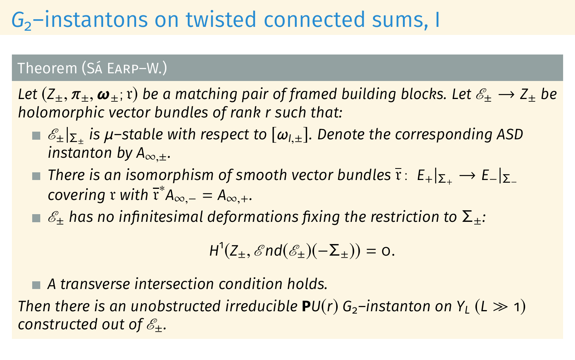## *G*2–instantons on twisted connected sums, I

#### Theorem (Sá Earp–W.)

*Let*  $(Z_+, \pi_+, \omega_+)$  *be a matching pair of framed building blocks. Let*  $\mathscr{E}_+ \to Z_+$  *be holomorphic vector bundles of rank r such that:*

- E±|Σ<sup>±</sup> *is* <sup>µ</sup>*–stable with respect to* [ω*<sup>I</sup>*,±]*. Denote the corresponding ASD instanton by*  $A_{\infty,+}$ *.*
- **■** *There is an isomorphism of smooth vector bundles*  $\overline{r}: E_{+}|_{\Sigma_{+}} \rightarrow E_{-}|_{\Sigma_{-}}$  $\alpha$  *covering* r *with*  $\overline{r}^* A_{\infty,-} = A_{\infty,+}$ .
- $\blacksquare$   $\mathscr{E}_+$  has no infinitesimal deformations fixing the restriction to  $\Sigma_+$ :

$$
H^1(Z_{\pm}, \mathscr{E}nd(\mathscr{E}_{\pm})(-\Sigma_{\pm})) = 0.
$$

*A transverse intersection condition holds.*

*Then there is an unobstructed irreducible*  $PU(r)$  *G*<sub>2</sub>–instanton on Y<sub>*L*</sub> (*L*  $\gg$  1) *constructed out of*  $\mathscr{E}_+$ .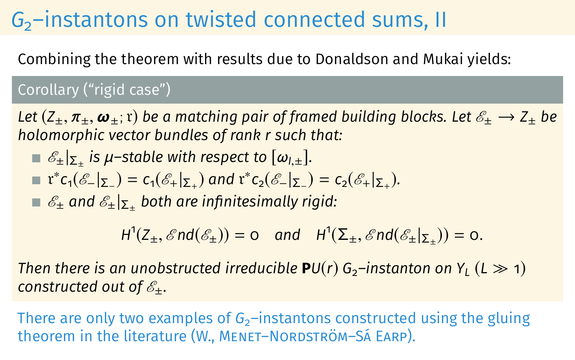### *G*<sub>2</sub>–instantons on twisted connected sums, II

Combining the theorem with results due to Donaldson and Mukai yields:

#### Corollary ("rigid case")

*Let*  $(Z_+, \pi_+, \omega_+; r)$  *be a matching pair of framed building blocks. Let*  $\mathscr{E}_+ \to Z_+$  *be holomorphic vector bundles of rank r such that:*

$$
\blacksquare \mathscr{E}_{\pm} |_{\Sigma_{\pm}} \text{ is } \mu\text{-stable with respect to } [\omega_{l,\pm}].
$$

$$
\mathbf{r}^*c_1(\mathscr{E}_-|_{\Sigma_-})=c_1(\mathscr{E}_+|_{\Sigma_+}) \text{ and } r^*c_2(\mathscr{E}_-|_{\Sigma_-})=c_2(\mathscr{E}_+|_{\Sigma_+}).
$$

 $\mathscr{E}_\pm$  and  $\mathscr{E}_\pm|_{\mathsf{\Sigma}_\pm}$  both are infinitesimally rigid:

 $H^1(Z_\pm, \mathscr{E}nd(\mathscr{E}_\pm)) = 0$  and  $H^1(\Sigma_\pm, \mathscr{E}nd(\mathscr{E}_\pm|_{\Sigma_\pm})) = 0.$ 

*Then there is an unobstructed irreducible*  $PU(r)$  *G*<sub>2</sub>–instanton on  $Y_l$  (*L*  $\gg$  1) *constructed out of*  $\mathscr{E}_+$ .

There are only two examples of  $G_2$ –instantons constructed using the gluing theorem in the literature (W., MENET-NORDSTRÖM-SÁ EARP).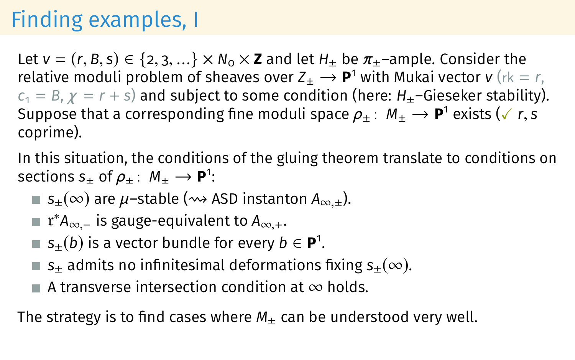## Finding examples, I

Let  $v = (r, B, s) \in \{2, 3, ...\} \times N_0 \times \mathbb{Z}$  and let  $H_+$  be  $\pi_+$ -ample. Consider the relative moduli problem of sheaves over  $Z_{\pm} \rightarrow P^1$  with Mukai vector *v* (rk = r,  $c_1 = B$ ,  $\gamma = r + s$ ) and subject to some condition (here: *H*<sub>+</sub>–Gieseker stability). Suppose that a corresponding fine moduli space  $\rho_{\pm}$ :  $M_{\pm} \rightarrow$  **P**<sup>1</sup> exists ( $\checkmark$  *r*, *s* coprime). coprime).

In this situation, the conditions of the gluing theorem translate to conditions on sections  $s_{\pm}$  of  $\rho_{\pm}$ :  $M_{\pm} \rightarrow P^1$ :

- **■**  $s_{+}(\infty)$  are  $\mu$ -stable ( $\rightsquigarrow$  ASD instanton  $A_{\infty}$   $+$ ).
- r <sup>∗</sup>*A*∞,<sup>−</sup> is gauge-equivalent to *<sup>A</sup>*∞,+.
- $s_{\pm}(b)$  is a vector bundle for every  $b \in \mathbf{P}^1$ .
- **■**  $s_+$  admits no infinitesimal deformations fixing  $s_+(\infty)$ .
- A transverse intersection condition at  $\infty$  holds.

The strategy is to find cases where  $M_{+}$  can be understood very well.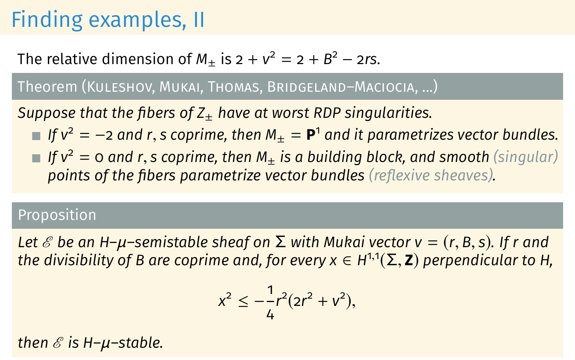## Finding examples, II

#### The relative dimension of  $M_{\pm}$  is  $2 + v^2 = 2 + B^2 - 2rs$ .

#### Theorem (Kuleshov, Mukai, Thomas, Bridgeland–Maciocia, ...)

*Suppose that the fibers of Z<sub>+</sub> have at worst RDP singularities.* 

- *If*  $v^2 = -2$  and r, s coprime, then  $M_{\pm} = \mathbf{P}^1$  and it parametrizes vector bundles.<br>If  $v^2 = 0$  and r, s coprime, then M, is a building block, and smooth (singular)
- *If*  $v^2 = o$  and r, *s* coprime, then  $M_+$  *is a building block, and smooth (singular)* **points of the fibers parametrize vector bundles** (reflexive sheaves).

#### Proposition

*Let ε* be an H- $\mu$ -semistable sheaf on  $\Sigma$  with Mukai vector v = (r, B, s). If r and *the divisibility* of *B* are coprime and, for every *x* ∈ *H*<sup>1,1</sup>(Σ, **Z**) perpendicular to H,

$$
x^2 \le -\frac{1}{4}r^2(2r^2 + v^2),
$$

*then ℰ is H-µ-stable.*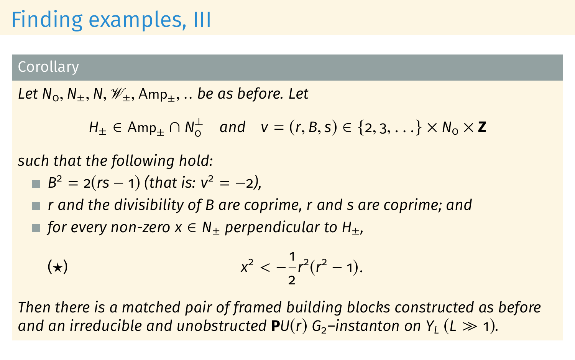### Finding examples, III

#### Corollary

*Let*  $N_0$ ,  $N_+$ ,  $N$ ,  $\mathcal{W}_+$ ,  $Amp_+$ , ... *be as before. Let* 

*H*<sub>±</sub> ∈ Amp<sub>±</sub> ∩ *N*<sup>⊥</sup><sub>0</sub> and *v* = (*r*, *B*, *s*) ∈ {2, 3, . . .} × *N*<sub>0</sub> × **Z** 

*such that the following hold:*

 $B^2 = 2(rs - 1)$  *(that is: v*<sup>2</sup> = -2*)*,

*r and the divisibility of B are coprime, r and s are coprime; and* ■ *for every non-zero*  $x \in N_+$  *perpendicular to H<sub>+</sub>,* 

(\*) 
$$
x^2 < -\frac{1}{2}r^2(r^2 - 1).
$$

*Then there is a matched pair of framed building blocks constructed as before and an irreducible and unobstructed*  $PU(r)$  *G*<sub>2</sub>–*instanton on Y<sub>1</sub></sub> (L*  $\gg$  *1).*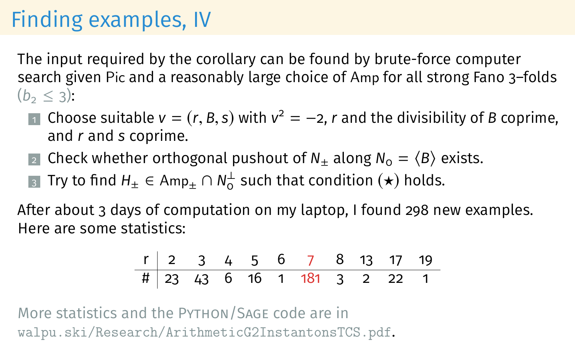### Finding examples, IV

The input required by the corollary can be found by brute-force computer search given Pic and a reasonably large choice of Amp for all strong Fano 3–folds  $(b<sub>2</sub> < 3):$ 

- 1 Choose suitable  $v = (r, B, s)$  with  $v^2 = -2$ , *r* and the divisibility of *B* coprime, and *r* and *s* coprime. and *r* and *s* coprime.
- 2 Check whether orthogonal pushout of  $N_+$  along  $N_0 = \langle B \rangle$  exists.
- <sub>3</sub> Try to find  $H_{\pm} \in \mathsf{Amp}_{\pm} \cap N^{\perp}_{0}$  such that condition  $(\star)$  holds.

After about 3 days of computation on my laptop, I found 298 new examples. Here are some statistics:

r 2 3 4 5 6 7 8 13 17 19 # 23 43 6 16 1 181 3 2 22 1

More statistics and the Python/Sage code are in <walpu.ski/Research/ArithmeticG2InstantonsTCS.pdf>.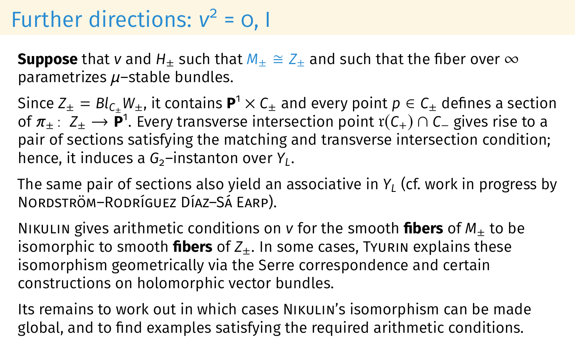# Further directions:  $v^2 = 0$ , I

**Suppose** that *v* and  $H_+$  such that  $M_+ \cong Z_+$  and such that the fiber over  $\infty$ parametrizes  $\mu$ –stable bundles.

Since  $Z_{\pm} = Bl_{C_{\pm}}W_{\pm}$ , it contains  $\mathbf{P}^1 \times C_{\pm}$  and every point  $p \in C_{\pm}$  defines a section of  $\pi_{\pm}$ :  $Z_{\pm} \rightarrow P^1$ . Every transverse intersection point r( $C_{+}$ )  $\cap C_{-}$  gives rise to a pair of sections satisfying the matching and transverse intersection condition; hence, it induces a G<sub>2</sub>-instanton over Y<sub>*L*</sub>.

The same pair of sections also yield an associative in *Y<sup>L</sup>* (cf. work in progress by Nordström–Rodríguez Díaz–Sá Earp).

NIKULIN gives arithmetic conditions on  $v$  for the smooth **fibers** of  $M_{+}$  to be isomorphic to smooth **fibers** of  $Z_{+}$ . In some cases, Tyurin explains these isomorphism geometrically via the Serre correspondence and certain constructions on holomorphic vector bundles.

Its remains to work out in which cases Nikulin's isomorphism can be made global, and to find examples satisfying the required arithmetic conditions.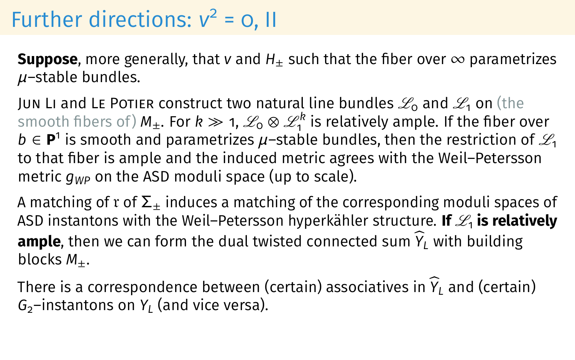# Further directions:  $v^2 = 0$ , II

**Suppose**, more generally, that *v* and  $H_+$  such that the fiber over  $\infty$  parametrizes  $\mu$ -stable bundles.

Jun Li and Le Potier construct two natural line bundles  $\mathscr{L}_0$  and  $\mathscr{L}_1$  on (the smooth fibers of)  $M_\pm.$  For  $k\gg$  1,  $\mathscr{L}_0\otimes\mathscr{L}_1^k$  is relatively ample. If the fiber over *b* ∈ **P**<sup>1</sup> is smooth and parametrizes  $\mu$ –stable bundles, then the restriction of  $\mathcal{L}_1$ to that fiber is ample and the induced metric agrees with the Weil–Petersson metric *gWP* on the ASD moduli space (up to scale).

A matching of r of  $\Sigma_{+}$  induces a matching of the corresponding moduli spaces of ASD instantons with the Weil–Petersson hyperkähler structure. **If**  $\mathscr{L}_1$  **is relatively ample**, then we can form the dual twisted connected sum  $\hat{Y}_L$  with building blocks  $M_{+}$ .

There is a correspondence between (certain) associatives in  $\hat{Y}_L$  and (certain) *G*2–instantons on *Y<sup>L</sup>* (and vice versa).